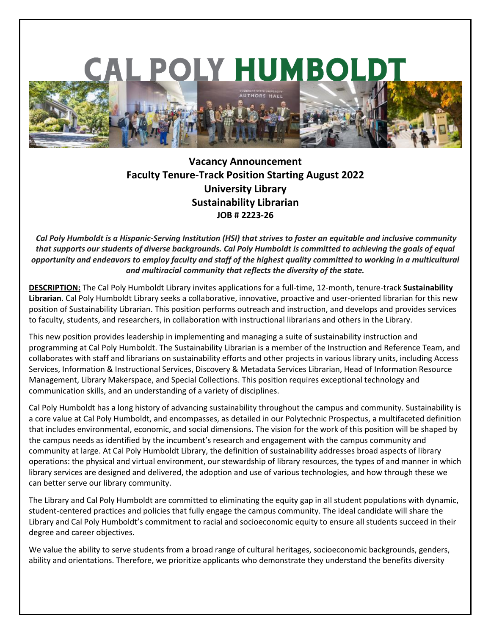

# **Vacancy Announcement Faculty Tenure-Track Position Starting August 2022 University Library Sustainability Librarian JOB # 2223-26**

*Cal Poly Humboldt is a Hispanic-Serving Institution (HSI) that strives to foster an equitable and inclusive community that supports our students of diverse backgrounds. Cal Poly Humboldt is committed to achieving the goals of equal opportunity and endeavors to employ faculty and staff of the highest quality committed to working in a multicultural and multiracial community that reflects the diversity of the state.* 

**DESCRIPTION:** The Cal Poly Humboldt Library invites applications for a full-time, 12-month, tenure-track **Sustainability Librarian**. Cal Poly Humboldt Library seeks a collaborative, innovative, proactive and user-oriented librarian for this new position of Sustainability Librarian. This position performs outreach and instruction, and develops and provides services to faculty, students, and researchers, in collaboration with instructional librarians and others in the Library.

This new position provides leadership in implementing and managing a suite of sustainability instruction and programming at Cal Poly Humboldt. The Sustainability Librarian is a member of the Instruction and Reference Team, and collaborates with staff and librarians on sustainability efforts and other projects in various library units, including Access Services, Information & Instructional Services, Discovery & Metadata Services Librarian, Head of Information Resource Management, Library Makerspace, and Special Collections. This position requires exceptional technology and communication skills, and an understanding of a variety of disciplines.

Cal Poly Humboldt has a long history of advancing sustainability throughout the campus and community. Sustainability is a core value at Cal Poly Humboldt, and encompasses, as detailed in our [Polytechnic Prospectus,](https://www.humboldt.edu/polytechnic) a multifaceted definition that includes environmental, economic, and social dimensions. The vision for the work of this position will be shaped by the campus needs as identified by the incumbent's research and engagement with the campus community and community at large. At Cal Poly Humboldt Library, the definition of sustainability addresses broad aspects of library operations: the physical and virtual environment, our stewardship of library resources, the types of and manner in which library services are designed and delivered, the adoption and use of various technologies, and how through these we can better serve our library community.

The Library and Cal Poly Humboldt are committed to eliminating the equity gap in all student populations with dynamic, student-centered practices and policies that fully engage the campus community. The ideal candidate will share the Library and Cal Poly Humboldt's commitment to racial and socioeconomic equity to ensure all students succeed in their degree and career objectives.

We value the ability to serve students from a broad range of cultural heritages, socioeconomic backgrounds, genders, ability and orientations. Therefore, we prioritize applicants who demonstrate they understand the benefits diversity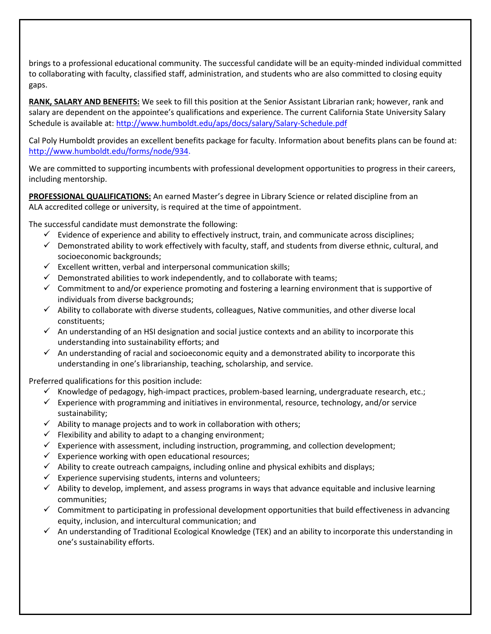brings to a professional educational community. The successful candidate will be an equity-minded individual committed to collaborating with faculty, classified staff, administration, and students who are also committed to closing equity gaps.

**RANK, SALARY AND BENEFITS:** We seek to fill this position at the Senior Assistant Librarian rank; however, rank and salary are dependent on the appointee's qualifications and experience. The current California State University Salary Schedule is available at:<http://www.humboldt.edu/aps/docs/salary/Salary-Schedule.pdf>

Cal Poly Humboldt provides an excellent benefits package for faculty. Information about benefits plans can be found at: [http://www.humboldt.edu/forms/node/934.](http://www.humboldt.edu/forms/node/934)

We are committed to supporting incumbents with professional development opportunities to progress in their careers, including mentorship.

**PROFESSIONAL QUALIFICATIONS:** An earned Master's degree in Library Science or related discipline from an ALA accredited college or university, is required at the time of appointment.

The successful candidate must demonstrate the following:

- $\checkmark$  Evidence of experience and ability to effectively instruct, train, and communicate across disciplines;
- $\checkmark$  Demonstrated ability to work effectively with faculty, staff, and students from diverse ethnic, cultural, and socioeconomic backgrounds;
- $\checkmark$  Excellent written, verbal and interpersonal communication skills;
- $\checkmark$  Demonstrated abilities to work independently, and to collaborate with teams;
- $\checkmark$  Commitment to and/or experience promoting and fostering a learning environment that is supportive of individuals from diverse backgrounds;
- $\checkmark$  Ability to collaborate with diverse students, colleagues, Native communities, and other diverse local constituents;
- $\checkmark$  An understanding of an HSI designation and social justice contexts and an ability to incorporate this understanding into sustainability efforts; and
- $\checkmark$  An understanding of racial and socioeconomic equity and a demonstrated ability to incorporate this understanding in one's librarianship, teaching, scholarship, and service.

Preferred qualifications for this position include:

- Knowledge of pedagogy, high-impact practices, problem-based learning, undergraduate research, etc.;
- $\checkmark$  Experience with programming and initiatives in environmental, resource, technology, and/or service sustainability;
- $\checkmark$  Ability to manage projects and to work in collaboration with others;
- $\checkmark$  Flexibility and ability to adapt to a changing environment;
- $\checkmark$  Experience with assessment, including instruction, programming, and collection development;
- $\checkmark$  Experience working with open educational resources;
- $\checkmark$  Ability to create outreach campaigns, including online and physical exhibits and displays;
- $\checkmark$  Experience supervising students, interns and volunteers;
- $\checkmark$  Ability to develop, implement, and assess programs in ways that advance equitable and inclusive learning communities;
- $\checkmark$  Commitment to participating in professional development opportunities that build effectiveness in advancing equity, inclusion, and intercultural communication; and
- $\checkmark$  An understanding of Traditional Ecological Knowledge (TEK) and an ability to incorporate this understanding in one's sustainability efforts.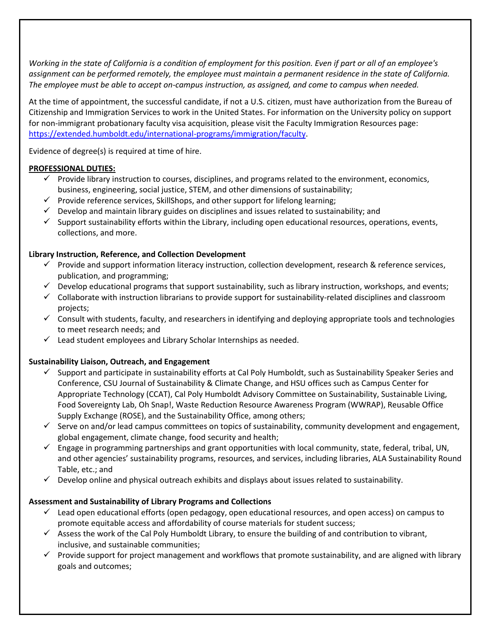*Working in the state of California is a condition of employment for this position. Even if part or all of an employee's assignment can be performed remotely, the employee must maintain a permanent residence in the state of California. The employee must be able to accept on-campus instruction, as assigned, and come to campus when needed.*

At the time of appointment, the successful candidate, if not a U.S. citizen, must have authorization from the Bureau of Citizenship and Immigration Services to work in the United States. For information on the University policy on support for non-immigrant probationary faculty visa acquisition, please visit the Faculty Immigration Resources page: [https://extended.humboldt.edu/international-programs/immigration/faculty.](https://extended.humboldt.edu/international-programs/immigration/faculty)

Evidence of degree(s) is required at time of hire.

## **PROFESSIONAL DUTIES:**

- $\checkmark$  Provide library instruction to courses, disciplines, and programs related to the environment, economics, business, engineering, social justice, STEM, and other dimensions of sustainability;
- $\checkmark$  Provide reference services, SkillShops, and other support for lifelong learning;
- $\checkmark$  Develop and maintain library guides on disciplines and issues related to sustainability; and
- $\checkmark$  Support sustainability efforts within the Library, including open educational resources, operations, events, collections, and more.

## **Library Instruction, Reference, and Collection Development**

- $\checkmark$  Provide and support information literacy instruction, collection development, research & reference services, publication, and programming;
- $\checkmark$  Develop educational programs that support sustainability, such as library instruction, workshops, and events;
- $\checkmark$  Collaborate with instruction librarians to provide support for sustainability-related disciplines and classroom projects;
- $\checkmark$  Consult with students, faculty, and researchers in identifying and deploying appropriate tools and technologies to meet research needs; and
- $\checkmark$  Lead student employees and Library Scholar Internships as needed.

#### **Sustainability Liaison, Outreach, and Engagement**

- $\checkmark$  Support and participate in sustainability efforts at Cal Poly Humboldt, such as Sustainability Speaker Series and Conference, CSU Journal of Sustainability & Climate Change, and HSU offices such as Campus Center for Appropriate Technology (CCAT), Cal Poly Humboldt Advisory Committee on Sustainability, Sustainable Living, Food Sovereignty Lab, Oh Snap!, Waste Reduction Resource Awareness Program (WWRAP), Reusable Office Supply Exchange (ROSE), and the Sustainability Office, among others;
- $\checkmark$  Serve on and/or lead campus committees on topics of sustainability, community development and engagement, global engagement, climate change, food security and health;
- $\checkmark$  Engage in programming partnerships and grant opportunities with local community, state, federal, tribal, UN, and other agencies' sustainability programs, resources, and services, including libraries, ALA Sustainability Round Table, etc.; and
- $\checkmark$  Develop online and physical outreach exhibits and displays about issues related to sustainability.

# **Assessment and Sustainability of Library Programs and Collections**

- $\checkmark$  Lead open educational efforts (open pedagogy, open educational resources, and open access) on campus to promote equitable access and affordability of course materials for student success;
- $\checkmark$  Assess the work of the Cal Poly Humboldt Library, to ensure the building of and contribution to vibrant, inclusive, and sustainable communities;
- $\checkmark$  Provide support for project management and workflows that promote sustainability, and are aligned with library goals and outcomes;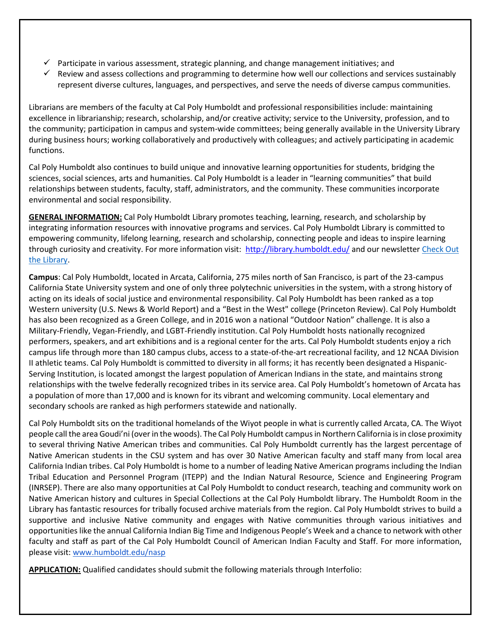- $\checkmark$  Participate in various assessment, strategic planning, and change management initiatives; and
- $\checkmark$  Review and assess collections and programming to determine how well our collections and services sustainably represent diverse cultures, languages, and perspectives, and serve the needs of diverse campus communities.

Librarians are members of the faculty at Cal Poly Humboldt and professional responsibilities include: maintaining excellence in librarianship; research, scholarship, and/or creative activity; service to the University, profession, and to the community; participation in campus and system-wide committees; being generally available in the University Library during business hours; working collaboratively and productively with colleagues; and actively participating in academic functions.

Cal Poly Humboldt also continues to build unique and innovative learning opportunities for students, bridging the sciences, social sciences, arts and humanities. Cal Poly Humboldt is a leader in "learning communities" that build relationships between students, faculty, staff, administrators, and the community. These communities incorporate environmental and social responsibility.

**GENERAL INFORMATION:** Cal Poly Humboldt Library promotes teaching, learning, research, and scholarship by integrating information resources with innovative programs and services. Cal Poly Humboldt Library is committed to empowering community, lifelong learning, research and scholarship, connecting people and ideas to inspire learning through curiosity and creativity. For more information visit: http://library.humboldt.edu/ and our newsletter [Check Out](https://library.humboldt.edu/about/newsletters)  [the Library.](https://library.humboldt.edu/about/newsletters)

**Campus**: Cal Poly Humboldt, located in Arcata, California, 275 miles north of San Francisco, is part of the 23-campus California State University system and one of only three polytechnic universities in the system, with a strong history of acting on its ideals of social justice and environmental responsibility. Cal Poly Humboldt has been ranked as a top Western university (U.S. News & World Report) and a "Best in the West" college (Princeton Review). Cal Poly Humboldt has also been recognized as a Green College, and in 2016 won a national "Outdoor Nation" challenge. It is also a Military-Friendly, Vegan-Friendly, and LGBT-Friendly institution. Cal Poly Humboldt hosts nationally recognized performers, speakers, and art exhibitions and is a regional center for the arts. Cal Poly Humboldt students enjoy a rich campus life through more than 180 campus clubs, access to a state-of-the-art recreational facility, and 12 NCAA Division II athletic teams. Cal Poly Humboldt is committed to diversity in all forms; it has recently been designated a Hispanic-Serving Institution, is located amongst the largest population of American Indians in the state, and maintains strong relationships with the twelve federally recognized tribes in its service area. Cal Poly Humboldt's hometown of Arcata has a population of more than 17,000 and is known for its vibrant and welcoming community. Local elementary and secondary schools are ranked as high performers statewide and nationally.

Cal Poly Humboldt sits on the traditional homelands of the Wiyot people in what is currently called Arcata, CA. The Wiyot people call the area Goudi'ni (over in the woods). The Cal Poly Humboldt campus in Northern California is in close proximity to several thriving Native American tribes and communities. Cal Poly Humboldt currently has the largest percentage of Native American students in the CSU system and has over 30 Native American faculty and staff many from local area California Indian tribes. Cal Poly Humboldt is home to a number of leading Native American programs including the Indian Tribal Education and Personnel Program (ITEPP) and the Indian Natural Resource, Science and Engineering Program (INRSEP). There are also many opportunities at Cal Poly Humboldt to conduct research, teaching and community work on Native American history and cultures in Special Collections at the Cal Poly Humboldt library. The Humboldt Room in the Library has fantastic resources for tribally focused archive materials from the region. Cal Poly Humboldt strives to build a supportive and inclusive Native community and engages with Native communities through various initiatives and opportunities like the annual California Indian Big Time and Indigenous People's Week and a chance to network with other faculty and staff as part of the Cal Poly Humboldt Council of American Indian Faculty and Staff. For more information, please visit[:](http://www.humboldt.edu/nasp) [www.humboldt.edu/nasp](http://www.humboldt.edu/nasp)

**APPLICATION:** Qualified candidates should submit the following materials through Interfolio: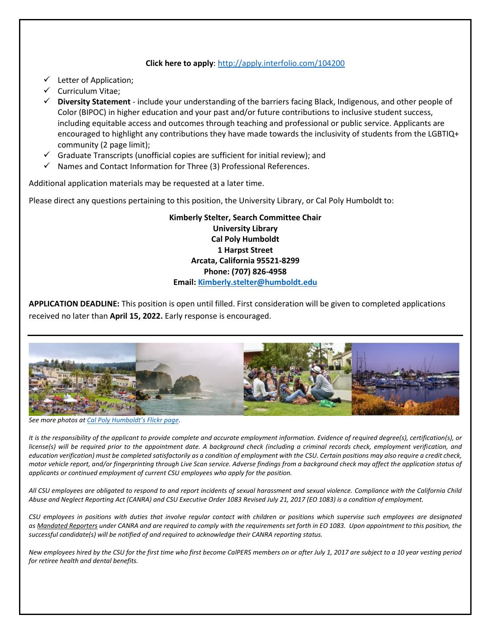#### **Click here to apply**[: http://apply.interfolio.com/104200](http://apply.interfolio.com/104200)

- $\checkmark$  Letter of Application;
- $\checkmark$  Curriculum Vitae;
- **Diversity Statement** include your understanding of the barriers facing Black, Indigenous, and other people of Color (BIPOC) in higher education and your past and/or future contributions to inclusive student success, including equitable access and outcomes through teaching and professional or public service. Applicants are encouraged to highlight any contributions they have made towards the inclusivity of students from the LGBTIQ+ community (2 page limit);
- Graduate Transcripts (unofficial copies are sufficient for initial review); and
- $\checkmark$  Names and Contact Information for Three (3) Professional References.

Additional application materials may be requested at a later time.

Please direct any questions pertaining to this position, the University Library, or Cal Poly Humboldt to:

**Kimberly Stelter, Search Committee Chair University Library Cal Poly Humboldt 1 Harpst Street Arcata, California 95521-8299 Phone: (707) 826-4958 Email: [Kimberly.stelter@humboldt.edu](mailto:Kimberly.stelter@humboldt.edu)**

**APPLICATION DEADLINE:** This position is open until filled. First consideration will be given to completed applications received no later than **April 15, 2022.** Early response is encouraged.



*See more photos a[t Cal Poly Humboldt](https://www.flickr.com/photos/humboldtstate/albums/with/72157661951987299)'s Flickr page.*

*It is the responsibility of the applicant to provide complete and accurate employment information. Evidence of required degree(s), certification(s), or license(s) will be required prior to the appointment date. A background check (including a criminal records check, employment verification, and education verification) must be completed satisfactorily as a condition of employment with the CSU. Certain positions may also require a credit check, motor vehicle report, and/or fingerprinting through Live Scan service. Adverse findings from a background check may affect the application status of applicants or continued employment of current CSU employees who apply for the position.* 

*All CSU employees are obligated to respond to and report incidents of sexual harassment and sexual violence. Compliance with the California Child Abuse and Neglect Reporting Act (CANRA) and CSU Executive Order 1083 Revised July 21, 2017 (EO 1083) is a condition of employment.*

*CSU employees in positions with duties that involve regular contact with children or positions which supervise such employees are designated as Mandated Reporters under CANRA and are required to comply with the requirements set forth in EO 1083. Upon appointment to this position, the successful candidate(s) will be notified of and required to acknowledge their CANRA reporting status.*

*New employees hired by the CSU for the first time who first become CalPERS members on or after July 1, 2017 are subject to a 10 year vesting period for retiree health and dental benefits.*